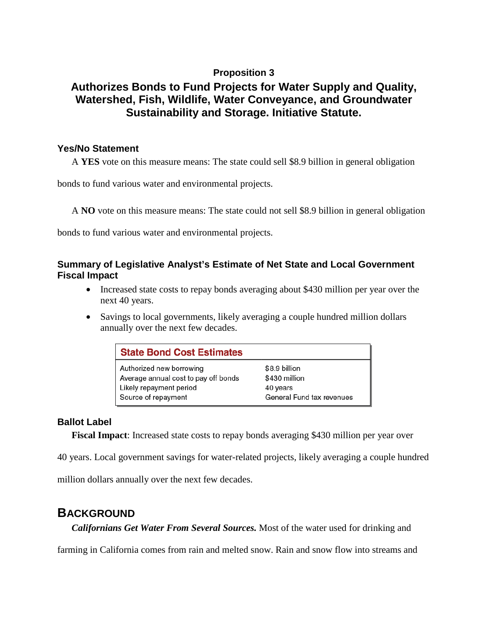### **Proposition 3**

# **Authorizes Bonds to Fund Projects for Water Supply and Quality, Watershed, Fish, Wildlife, Water Conveyance, and Groundwater Sustainability and Storage. Initiative Statute.**

#### **Yes/No Statement**

A **YES** vote on this measure means: The state could sell \$8.9 billion in general obligation

bonds to fund various water and environmental projects.

A **NO** vote on this measure means: The state could not sell \$8.9 billion in general obligation

bonds to fund various water and environmental projects.

#### **Summary of Legislative Analyst's Estimate of Net State and Local Government Fiscal Impact**

- Increased state costs to repay bonds averaging about \$430 million per year over the next 40 years.
- Savings to local governments, likely averaging a couple hundred million dollars annually over the next few decades.

| <b>State Bond Cost Estimates</b>     |                           |  |
|--------------------------------------|---------------------------|--|
| Authorized new borrowing             | \$8.9 billion             |  |
| Average annual cost to pay off bonds | \$430 million             |  |
| Likely repayment period              | 40 years                  |  |
| Source of repayment                  | General Fund tax revenues |  |

#### **Ballot Label**

**Fiscal Impact**: Increased state costs to repay bonds averaging \$430 million per year over

40 years. Local government savings for water-related projects, likely averaging a couple hundred

million dollars annually over the next few decades.

## **BACKGROUND**

*Californians Get Water From Several Sources.* Most of the water used for drinking and

farming in California comes from rain and melted snow. Rain and snow flow into streams and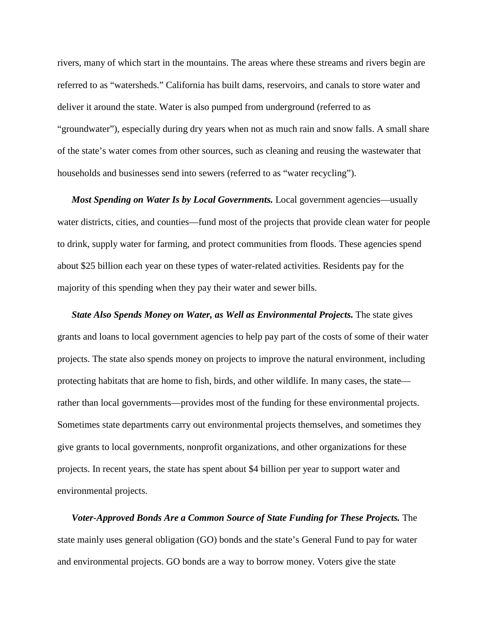rivers, many of which start in the mountains. The areas where these streams and rivers begin are referred to as "watersheds." California has built dams, reservoirs, and canals to store water and deliver it around the state. Water is also pumped from underground (referred to as "groundwater"), especially during dry years when not as much rain and snow falls. A small share of the state's water comes from other sources, such as cleaning and reusing the wastewater that households and businesses send into sewers (referred to as "water recycling").

*Most Spending on Water Is by Local Governments.* Local government agencies—usually water districts, cities, and counties—fund most of the projects that provide clean water for people to drink, supply water for farming, and protect communities from floods. These agencies spend about \$25 billion each year on these types of water-related activities. Residents pay for the majority of this spending when they pay their water and sewer bills.

*State Also Spends Money on Water, as Well as Environmental Projects.* The state gives grants and loans to local government agencies to help pay part of the costs of some of their water projects. The state also spends money on projects to improve the natural environment, including protecting habitats that are home to fish, birds, and other wildlife. In many cases, the state rather than local governments—provides most of the funding for these environmental projects. Sometimes state departments carry out environmental projects themselves, and sometimes they give grants to local governments, nonprofit organizations, and other organizations for these projects. In recent years, the state has spent about \$4 billion per year to support water and environmental projects.

*Voter-Approved Bonds Are a Common Source of State Funding for These Projects.* The state mainly uses general obligation (GO) bonds and the state's General Fund to pay for water and environmental projects. GO bonds are a way to borrow money. Voters give the state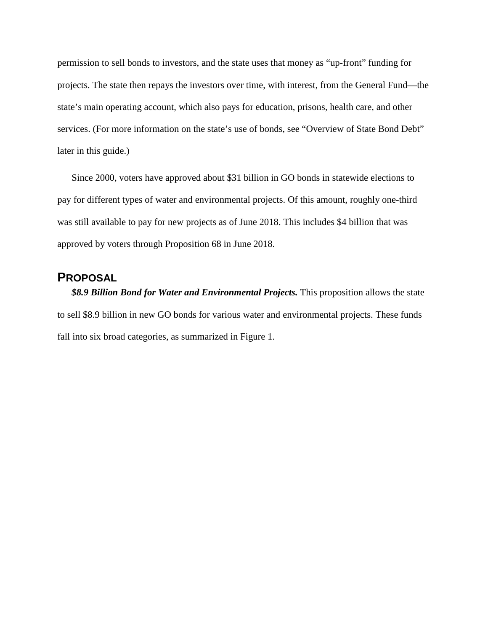permission to sell bonds to investors, and the state uses that money as "up-front" funding for projects. The state then repays the investors over time, with interest, from the General Fund—the state's main operating account, which also pays for education, prisons, health care, and other services. (For more information on the state's use of bonds, see "Overview of State Bond Debt" later in this guide.)

Since 2000, voters have approved about \$31 billion in GO bonds in statewide elections to pay for different types of water and environmental projects. Of this amount, roughly one-third was still available to pay for new projects as of June 2018. This includes \$4 billion that was approved by voters through Proposition 68 in June 2018.

## **PROPOSAL**

*\$8.9 Billion Bond for Water and Environmental Projects.* This proposition allows the state to sell \$8.9 billion in new GO bonds for various water and environmental projects. These funds fall into six broad categories, as summarized in Figure 1.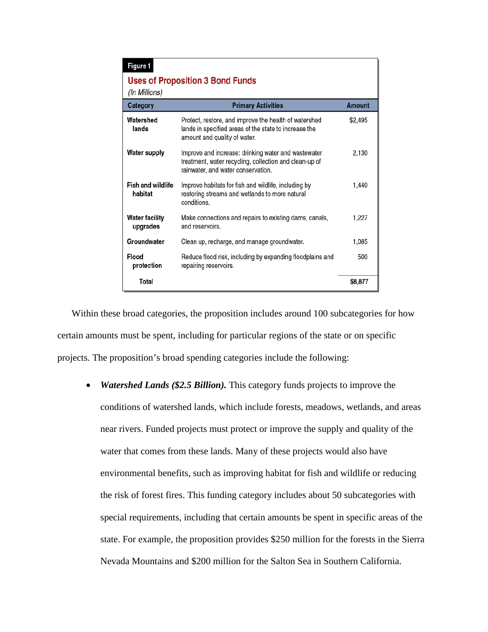| Figure 1                                                 |                                                                                                                                                     |         |  |
|----------------------------------------------------------|-----------------------------------------------------------------------------------------------------------------------------------------------------|---------|--|
| <b>Uses of Proposition 3 Bond Funds</b><br>(In Millions) |                                                                                                                                                     |         |  |
| Category                                                 | <b>Primary Activities</b>                                                                                                                           | Amount  |  |
| Watershed<br>lands                                       | Protect, restore, and improve the health of watershed<br>lands in specified areas of the state to increase the<br>amount and quality of water.      | \$2,495 |  |
| Water supply                                             | Improve and increase: drinking water and wastewater<br>treatment, water recycling, collection and clean-up of<br>rainwater, and water conservation. | 2,130   |  |
| <b>Fish and wildlife</b><br>habitat                      | Improve habitats for fish and wildlife, including by<br>restoring streams and wetlands to more natural<br>conditions.                               | 1.440   |  |
| <b>Water facility</b><br>upgrades                        | Make connections and repairs to existing dams, canals,<br>and reservoirs.                                                                           | 1.227   |  |
| Groundwater                                              | Clean up, recharge, and manage groundwater.                                                                                                         | 1,085   |  |
| Flood<br>protection                                      | Reduce flood risk, including by expanding floodplains and<br>repairing reservoirs.                                                                  | 500     |  |
| Total                                                    |                                                                                                                                                     | \$8,877 |  |

Within these broad categories, the proposition includes around 100 subcategories for how certain amounts must be spent, including for particular regions of the state or on specific projects. The proposition's broad spending categories include the following:

• *Watershed Lands (\$2.5 Billion)*. This category funds projects to improve the conditions of watershed lands, which include forests, meadows, wetlands, and areas near rivers. Funded projects must protect or improve the supply and quality of the water that comes from these lands. Many of these projects would also have environmental benefits, such as improving habitat for fish and wildlife or reducing the risk of forest fires. This funding category includes about 50 subcategories with special requirements, including that certain amounts be spent in specific areas of the state. For example, the proposition provides \$250 million for the forests in the Sierra Nevada Mountains and \$200 million for the Salton Sea in Southern California.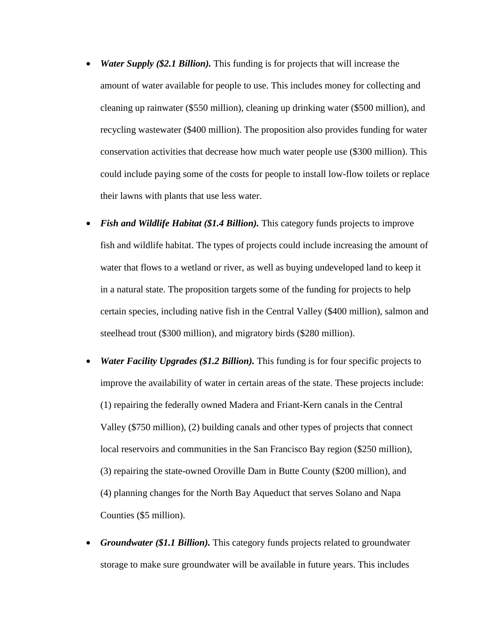- *Water Supply (\$2.1 Billion).* This funding is for projects that will increase the amount of water available for people to use. This includes money for collecting and cleaning up rainwater (\$550 million), cleaning up drinking water (\$500 million), and recycling wastewater (\$400 million). The proposition also provides funding for water conservation activities that decrease how much water people use (\$300 million). This could include paying some of the costs for people to install low-flow toilets or replace their lawns with plants that use less water.
- *Fish and Wildlife Habitat (\$1.4 Billion).* This category funds projects to improve fish and wildlife habitat. The types of projects could include increasing the amount of water that flows to a wetland or river, as well as buying undeveloped land to keep it in a natural state. The proposition targets some of the funding for projects to help certain species, including native fish in the Central Valley (\$400 million), salmon and steelhead trout (\$300 million), and migratory birds (\$280 million).
- *Water Facility Upgrades (\$1.2 Billion).* This funding is for four specific projects to improve the availability of water in certain areas of the state. These projects include: (1) repairing the federally owned Madera and Friant-Kern canals in the Central Valley (\$750 million), (2) building canals and other types of projects that connect local reservoirs and communities in the San Francisco Bay region (\$250 million), (3) repairing the state-owned Oroville Dam in Butte County (\$200 million), and (4) planning changes for the North Bay Aqueduct that serves Solano and Napa Counties (\$5 million).
- *Groundwater (\$1.1 Billion).* This category funds projects related to groundwater storage to make sure groundwater will be available in future years. This includes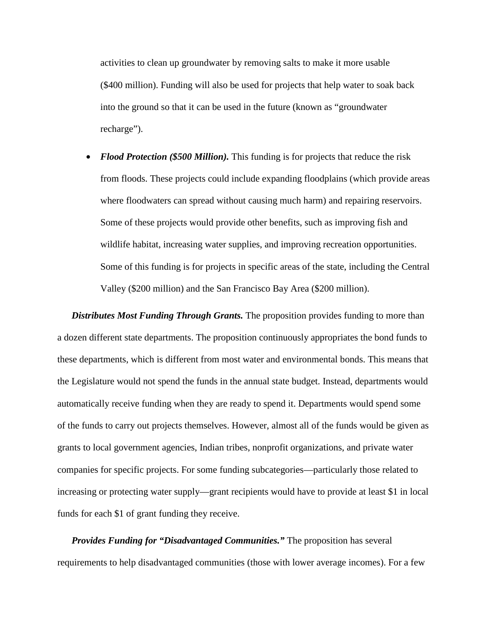activities to clean up groundwater by removing salts to make it more usable (\$400 million). Funding will also be used for projects that help water to soak back into the ground so that it can be used in the future (known as "groundwater recharge").

• *Flood Protection (\$500 Million)*. This funding is for projects that reduce the risk from floods. These projects could include expanding floodplains (which provide areas where floodwaters can spread without causing much harm) and repairing reservoirs. Some of these projects would provide other benefits, such as improving fish and wildlife habitat, increasing water supplies, and improving recreation opportunities. Some of this funding is for projects in specific areas of the state, including the Central Valley (\$200 million) and the San Francisco Bay Area (\$200 million).

*Distributes Most Funding Through Grants.* The proposition provides funding to more than a dozen different state departments. The proposition continuously appropriates the bond funds to these departments, which is different from most water and environmental bonds. This means that the Legislature would not spend the funds in the annual state budget. Instead, departments would automatically receive funding when they are ready to spend it. Departments would spend some of the funds to carry out projects themselves. However, almost all of the funds would be given as grants to local government agencies, Indian tribes, nonprofit organizations, and private water companies for specific projects. For some funding subcategories—particularly those related to increasing or protecting water supply—grant recipients would have to provide at least \$1 in local funds for each \$1 of grant funding they receive.

*Provides Funding for "Disadvantaged Communities."* The proposition has several requirements to help disadvantaged communities (those with lower average incomes). For a few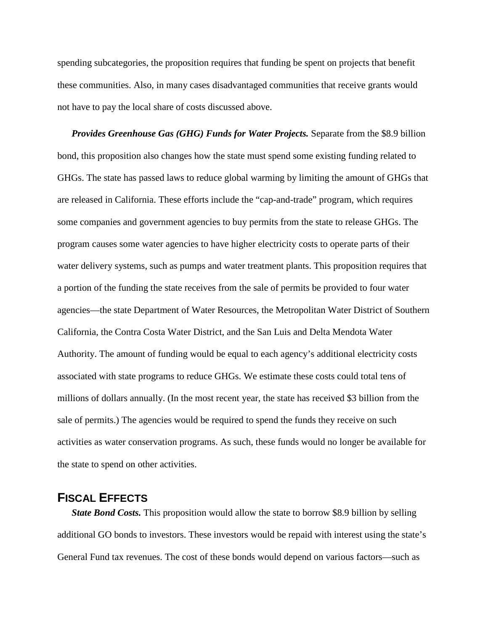spending subcategories, the proposition requires that funding be spent on projects that benefit these communities. Also, in many cases disadvantaged communities that receive grants would not have to pay the local share of costs discussed above.

*Provides Greenhouse Gas (GHG) Funds for Water Projects.* Separate from the \$8.9 billion bond, this proposition also changes how the state must spend some existing funding related to GHGs. The state has passed laws to reduce global warming by limiting the amount of GHGs that are released in California. These efforts include the "cap-and-trade" program, which requires some companies and government agencies to buy permits from the state to release GHGs. The program causes some water agencies to have higher electricity costs to operate parts of their water delivery systems, such as pumps and water treatment plants. This proposition requires that a portion of the funding the state receives from the sale of permits be provided to four water agencies—the state Department of Water Resources, the Metropolitan Water District of Southern California, the Contra Costa Water District, and the San Luis and Delta Mendota Water Authority. The amount of funding would be equal to each agency's additional electricity costs associated with state programs to reduce GHGs. We estimate these costs could total tens of millions of dollars annually. (In the most recent year, the state has received \$3 billion from the sale of permits.) The agencies would be required to spend the funds they receive on such activities as water conservation programs. As such, these funds would no longer be available for the state to spend on other activities.

### **FISCAL EFFECTS**

*State Bond Costs.* This proposition would allow the state to borrow \$8.9 billion by selling additional GO bonds to investors. These investors would be repaid with interest using the state's General Fund tax revenues. The cost of these bonds would depend on various factors—such as